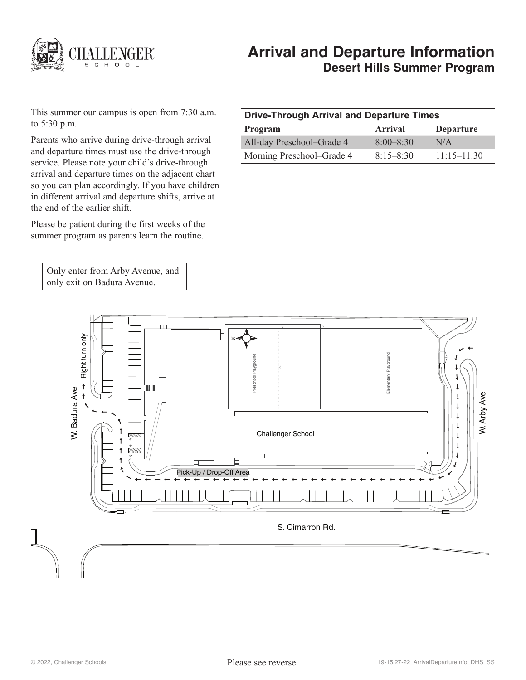

# **Arrival and Departure Information Desert Hills Summer Program**

This summer our campus is open from 7:30 a.m. to 5:30 p.m.

Parents who arrive during drive-through arrival and departure times must use the drive-through service. Please note your child's drive-through arrival and departure times on the adjacent chart so you can plan accordingly. If you have children in different arrival and departure shifts, arrive at the end of the earlier shift.

Please be patient during the first weeks of the summer program as parents learn the routine.

Only enter from Arby Avenue, and only exit on Badura Avenue.

| Drive-Through Arrival and Departure Times |                |                  |
|-------------------------------------------|----------------|------------------|
| Program                                   | <b>Arrival</b> | <b>Departure</b> |
| All-day Preschool-Grade 4                 | $8:00 - 8:30$  | N/A              |
| Morning Preschool–Grade 4                 | $8.15 - 8.30$  | $11:15 - 11:30$  |